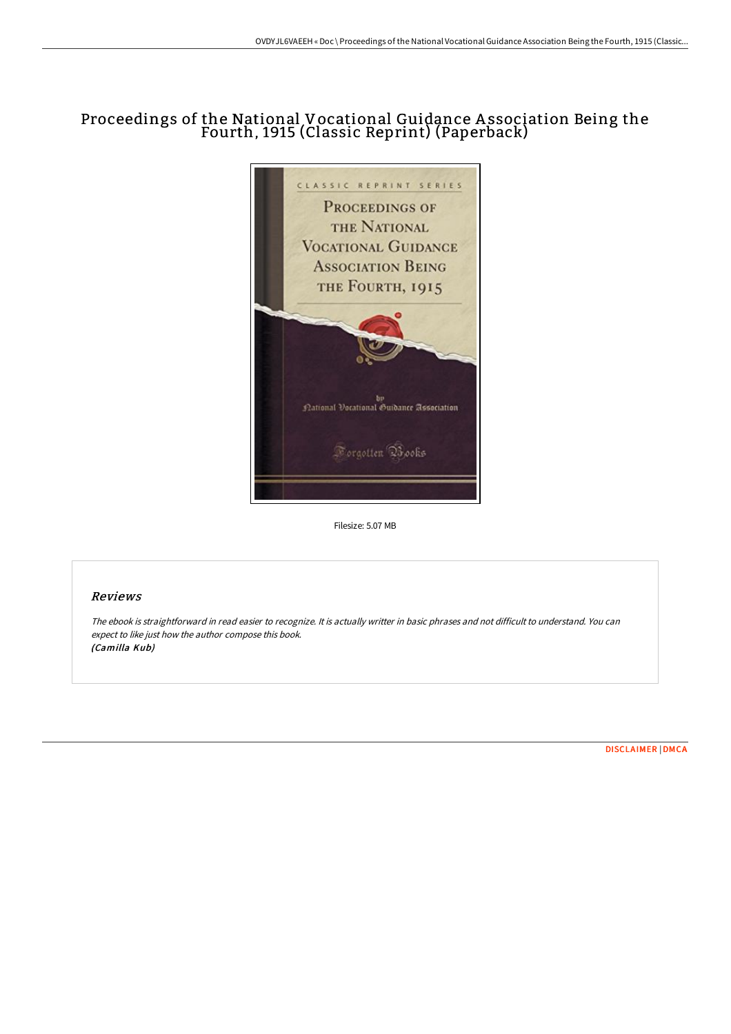# Proceedings of the National Vocational Guidance A ssociation Being the Fourth, 1915 (Classic Reprint) (Paperback)



Filesize: 5.07 MB

### Reviews

The ebook is straightforward in read easier to recognize. It is actually writter in basic phrases and not difficult to understand. You can expect to like just how the author compose this book. (Camilla Kub)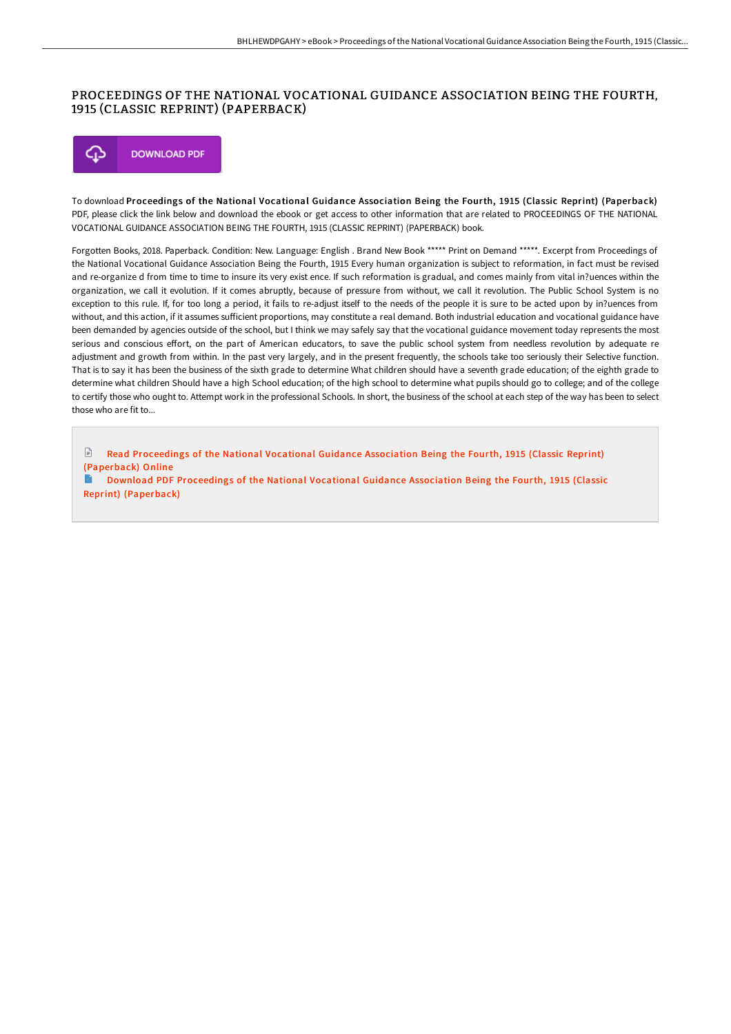### PROCEEDINGS OF THE NATIONAL VOCATIONAL GUIDANCE ASSOCIATION BEING THE FOURTH, 1915 (CLASSIC REPRINT) (PAPERBACK)



To download Proceedings of the National Vocational Guidance Association Being the Fourth, 1915 (Classic Reprint) (Paperback) PDF, please click the link below and download the ebook or get access to other information that are related to PROCEEDINGS OF THE NATIONAL VOCATIONAL GUIDANCE ASSOCIATION BEING THE FOURTH, 1915 (CLASSIC REPRINT) (PAPERBACK) book.

Forgotten Books, 2018. Paperback. Condition: New. Language: English . Brand New Book \*\*\*\*\* Print on Demand \*\*\*\*\*. Excerpt from Proceedings of the National Vocational Guidance Association Being the Fourth, 1915 Every human organization is subject to reformation, in fact must be revised and re-organize d from time to time to insure its very exist ence. If such reformation is gradual, and comes mainly from vital in?uences within the organization, we call it evolution. If it comes abruptly, because of pressure from without, we call it revolution. The Public School System is no exception to this rule. If, for too long a period, it fails to re-adjust itself to the needs of the people it is sure to be acted upon by in?uences from without, and this action, if it assumes sufficient proportions, may constitute a real demand. Both industrial education and vocational guidance have been demanded by agencies outside of the school, but I think we may safely say that the vocational guidance movement today represents the most serious and conscious eFort, on the part of American educators, to save the public school system from needless revolution by adequate re adjustment and growth from within. In the past very largely, and in the present frequently, the schools take too seriously their Selective function. That is to say it has been the business of the sixth grade to determine What children should have a seventh grade education; of the eighth grade to determine what children Should have a high School education; of the high school to determine what pupils should go to college; and of the college to certify those who ought to. Attempt work in the professional Schools. In short, the business of the school at each step of the way has been to select those who are fit to...

 $\mathbb{R}$ Read [Proceedings](http://www.bookdirs.com/proceedings-of-the-national-vocational-guidance-.html) of the National Vocational Guidance Association Being the Fourth, 1915 (Classic Reprint) (Paperback) Online

Download PDF [Proceedings](http://www.bookdirs.com/proceedings-of-the-national-vocational-guidance-.html) of the National Vocational Guidance Association Being the Fourth, 1915 (Classic Reprint) (Paperback)